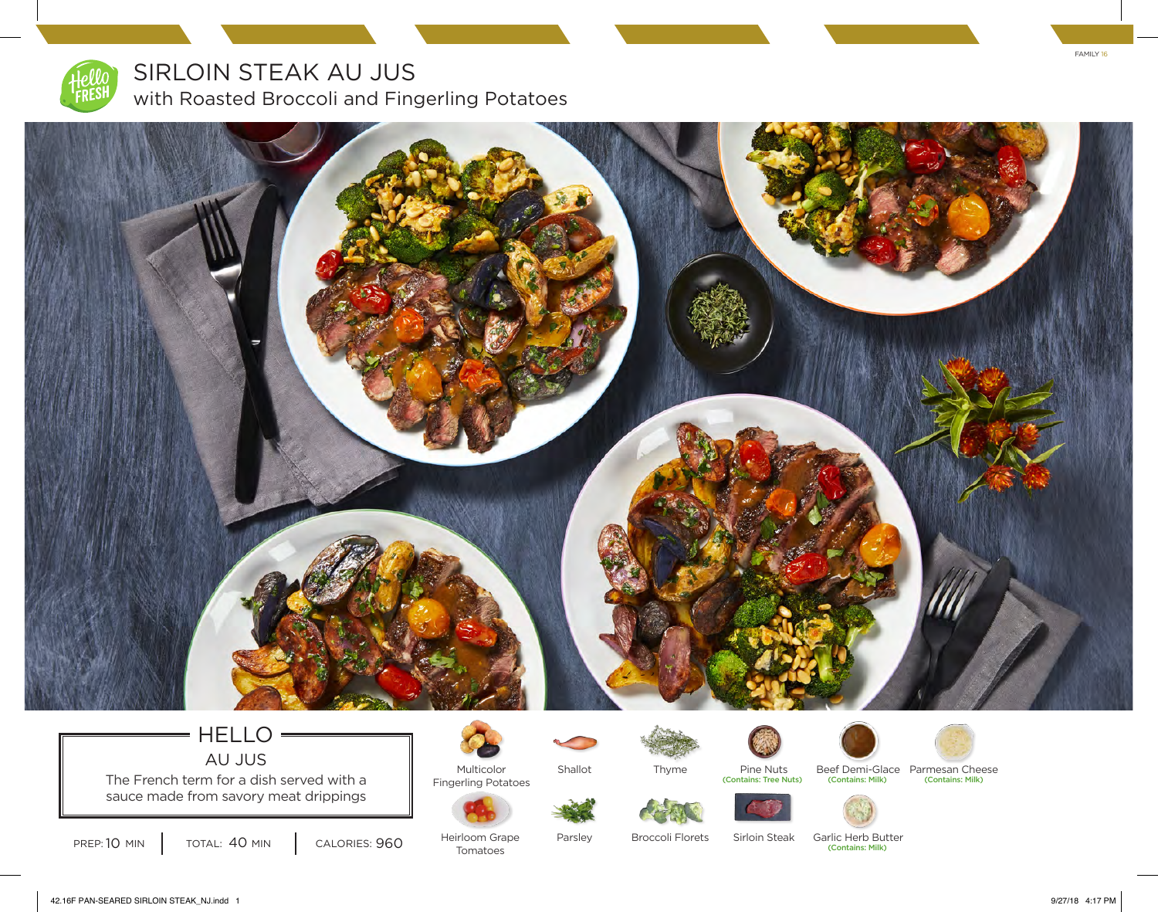

SIRLOIN STEAK AU JUS

with Roasted Broccoli and Fingerling Potatoes



#### HELLO = AU JUS

The French term for a dish served with a sauce made from savory meat drippings



Multicolor



Shallot



Pine Nuts



Beef Demi-Glace Parmesan Cheese Fingerling Potatoes **and Contains: Tree Nuts)** (Contains: Milk) (Contains: Milk) (Contains: Milk)



PREP: 10 MIN TOTAL: 40 MIN CALORIES: 960 Heirloom Grape Parsley Broccoli Florets

Heirloom Grape Tomatoes

Sirloin Steak

(Contains: Milk) Parsley Broccoli Florets Sirloin Steak Garlic Herb Butter

FAMILY 16